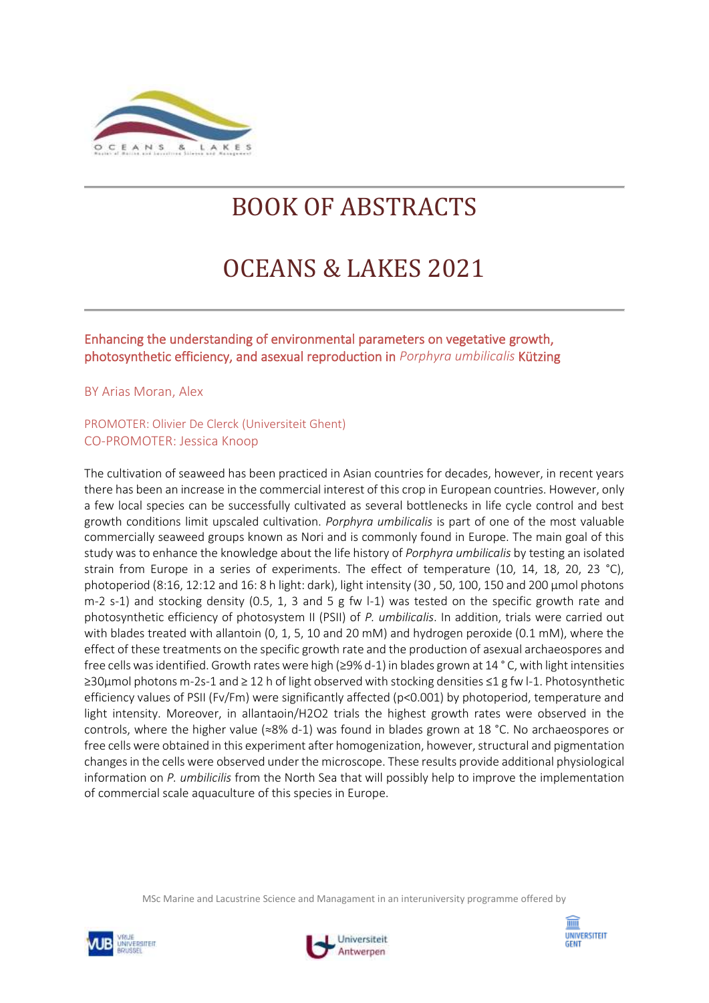

# BOOK OF ABSTRACTS

# OCEANS & LAKES 2021

# Enhancing the understanding of environmental parameters on vegetative growth, photosynthetic efficiency, and asexual reproduction in *Porphyra umbilicalis* Kützing

BY Arias Moran, Alex

## PROMOTER: Olivier De Clerck (Universiteit Ghent) CO-PROMOTER: Jessica Knoop

The cultivation of seaweed has been practiced in Asian countries for decades, however, in recent years there has been an increase in the commercial interest of this crop in European countries. However, only a few local species can be successfully cultivated as several bottlenecks in life cycle control and best growth conditions limit upscaled cultivation. *Porphyra umbilicalis* is part of one of the most valuable commercially seaweed groups known as Nori and is commonly found in Europe. The main goal of this study was to enhance the knowledge about the life history of *Porphyra umbilicalis* by testing an isolated strain from Europe in a series of experiments. The effect of temperature (10, 14, 18, 20, 23 °C), photoperiod (8:16, 12:12 and 16: 8 h light: dark), light intensity (30 , 50, 100, 150 and 200 µmol photons m-2 s-1) and stocking density (0.5, 1, 3 and 5 g fw l-1) was tested on the specific growth rate and photosynthetic efficiency of photosystem II (PSII) of *P. umbilicalis*. In addition, trials were carried out with blades treated with allantoin (0, 1, 5, 10 and 20 mM) and hydrogen peroxide (0.1 mM), where the effect of these treatments on the specific growth rate and the production of asexual archaeospores and free cells was identified. Growth rates were high (≥9% d-1) in blades grown at 14 ° C, with light intensities ≥30µmol photons m-2s-1 and ≥ 12 h of light observed with stocking densities ≤1 g fw l-1. Photosynthetic efficiency values of PSII (Fv/Fm) were significantly affected (p<0.001) by photoperiod, temperature and light intensity. Moreover, in allantaoin/H2O2 trials the highest growth rates were observed in the controls, where the higher value (≈8% d-1) was found in blades grown at 18 °C. No archaeospores or free cells were obtained in this experiment after homogenization, however, structural and pigmentation changes in the cells were observed under the microscope. These results provide additional physiological information on *P. umbilicilis* from the North Sea that will possibly help to improve the implementation of commercial scale aquaculture of this species in Europe.





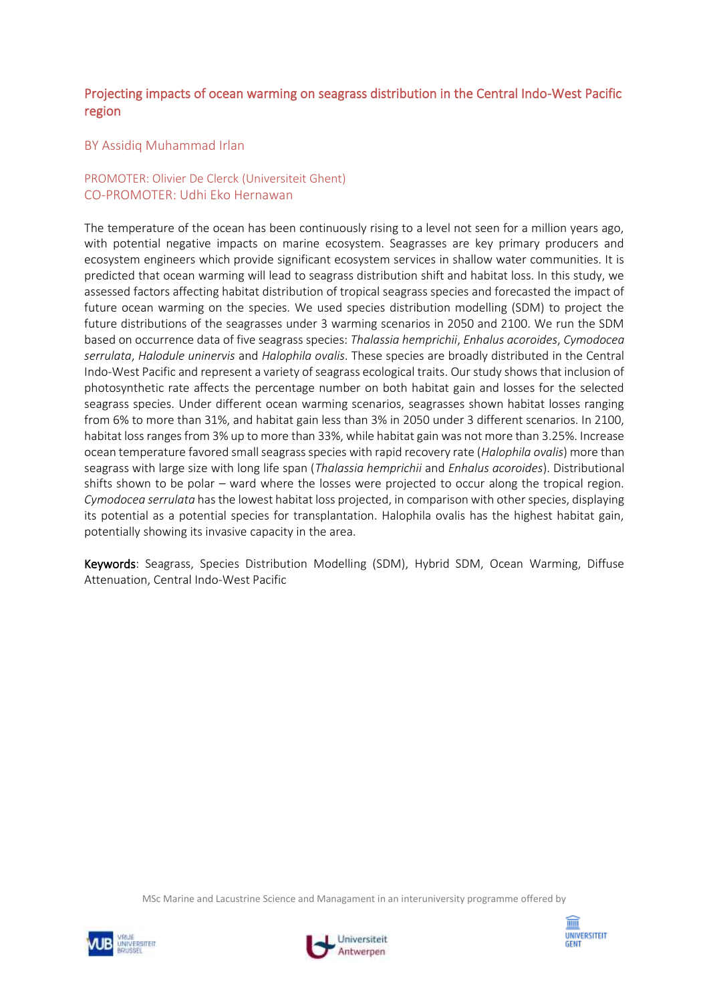# Projecting impacts of ocean warming on seagrass distribution in the Central Indo-West Pacific region

#### BY Assidiq Muhammad Irlan

## PROMOTER: Olivier De Clerck (Universiteit Ghent) CO-PROMOTER: Udhi Eko Hernawan

The temperature of the ocean has been continuously rising to a level not seen for a million years ago, with potential negative impacts on marine ecosystem. Seagrasses are key primary producers and ecosystem engineers which provide significant ecosystem services in shallow water communities. It is predicted that ocean warming will lead to seagrass distribution shift and habitat loss. In this study, we assessed factors affecting habitat distribution of tropical seagrass species and forecasted the impact of future ocean warming on the species. We used species distribution modelling (SDM) to project the future distributions of the seagrasses under 3 warming scenarios in 2050 and 2100. We run the SDM based on occurrence data of five seagrass species: *Thalassia hemprichii*, *Enhalus acoroides*, *Cymodocea serrulata*, *Halodule uninervis* and *Halophila ovalis*. These species are broadly distributed in the Central Indo-West Pacific and represent a variety of seagrass ecological traits. Our study shows that inclusion of photosynthetic rate affects the percentage number on both habitat gain and losses for the selected seagrass species. Under different ocean warming scenarios, seagrasses shown habitat losses ranging from 6% to more than 31%, and habitat gain less than 3% in 2050 under 3 different scenarios. In 2100, habitat loss ranges from 3% up to more than 33%, while habitat gain was not more than 3.25%. Increase ocean temperature favored small seagrass species with rapid recovery rate (*Halophila ovalis*) more than seagrass with large size with long life span (*Thalassia hemprichii* and *Enhalus acoroides*). Distributional shifts shown to be polar – ward where the losses were projected to occur along the tropical region. *Cymodocea serrulata* has the lowest habitat loss projected, in comparison with other species, displaying its potential as a potential species for transplantation. Halophila ovalis has the highest habitat gain, potentially showing its invasive capacity in the area.

Keywords: Seagrass, Species Distribution Modelling (SDM), Hybrid SDM, Ocean Warming, Diffuse Attenuation, Central Indo-West Pacific





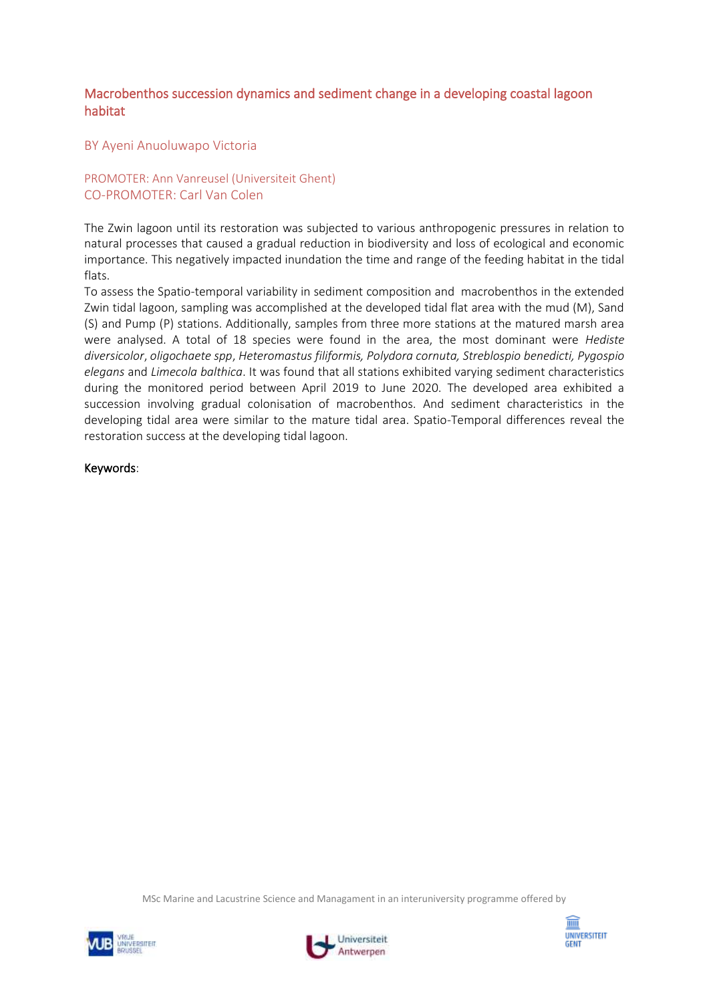## Macrobenthos succession dynamics and sediment change in a developing coastal lagoon habitat

BY Ayeni Anuoluwapo Victoria

PROMOTER: Ann Vanreusel (Universiteit Ghent) CO-PROMOTER: Carl Van Colen

The Zwin lagoon until its restoration was subjected to various anthropogenic pressures in relation to natural processes that caused a gradual reduction in biodiversity and loss of ecological and economic importance. This negatively impacted inundation the time and range of the feeding habitat in the tidal flats.

To assess the Spatio-temporal variability in sediment composition and macrobenthos in the extended Zwin tidal lagoon, sampling was accomplished at the developed tidal flat area with the mud (M), Sand (S) and Pump (P) stations. Additionally, samples from three more stations at the matured marsh area were analysed. A total of 18 species were found in the area, the most dominant were *Hediste diversicolor*, *oligochaete spp*, *Heteromastus filiformis, Polydora cornuta, Streblospio benedicti, Pygospio elegans* and *Limecola balthica*. It was found that all stations exhibited varying sediment characteristics during the monitored period between April 2019 to June 2020. The developed area exhibited a succession involving gradual colonisation of macrobenthos. And sediment characteristics in the developing tidal area were similar to the mature tidal area. Spatio-Temporal differences reveal the restoration success at the developing tidal lagoon.

Keywords:





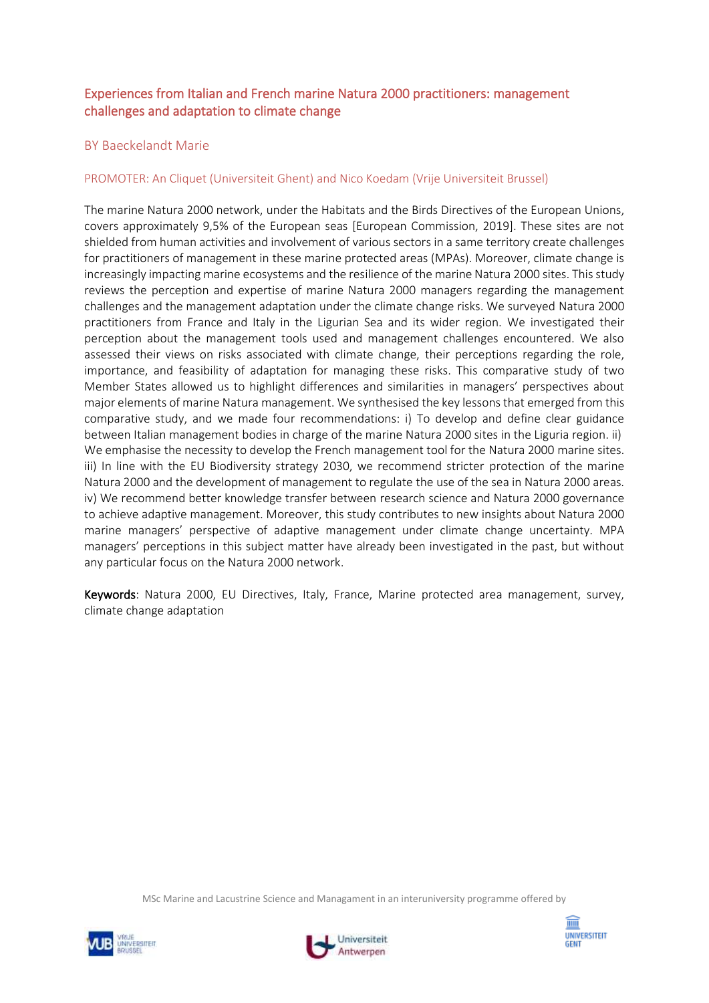# Experiences from Italian and French marine Natura 2000 practitioners: management challenges and adaptation to climate change

## BY Baeckelandt Marie

## PROMOTER: An Cliquet (Universiteit Ghent) and Nico Koedam (Vrije Universiteit Brussel)

The marine Natura 2000 network, under the Habitats and the Birds Directives of the European Unions, covers approximately 9,5% of the European seas [European Commission, 2019]. These sites are not shielded from human activities and involvement of various sectors in a same territory create challenges for practitioners of management in these marine protected areas (MPAs). Moreover, climate change is increasingly impacting marine ecosystems and the resilience of the marine Natura 2000 sites. This study reviews the perception and expertise of marine Natura 2000 managers regarding the management challenges and the management adaptation under the climate change risks. We surveyed Natura 2000 practitioners from France and Italy in the Ligurian Sea and its wider region. We investigated their perception about the management tools used and management challenges encountered. We also assessed their views on risks associated with climate change, their perceptions regarding the role, importance, and feasibility of adaptation for managing these risks. This comparative study of two Member States allowed us to highlight differences and similarities in managers' perspectives about major elements of marine Natura management. We synthesised the key lessons that emerged from this comparative study, and we made four recommendations: i) To develop and define clear guidance between Italian management bodies in charge of the marine Natura 2000 sites in the Liguria region. ii) We emphasise the necessity to develop the French management tool for the Natura 2000 marine sites. iii) In line with the EU Biodiversity strategy 2030, we recommend stricter protection of the marine Natura 2000 and the development of management to regulate the use of the sea in Natura 2000 areas. iv) We recommend better knowledge transfer between research science and Natura 2000 governance to achieve adaptive management. Moreover, this study contributes to new insights about Natura 2000 marine managers' perspective of adaptive management under climate change uncertainty. MPA managers' perceptions in this subject matter have already been investigated in the past, but without any particular focus on the Natura 2000 network.

Keywords: Natura 2000, EU Directives, Italy, France, Marine protected area management, survey, climate change adaptation





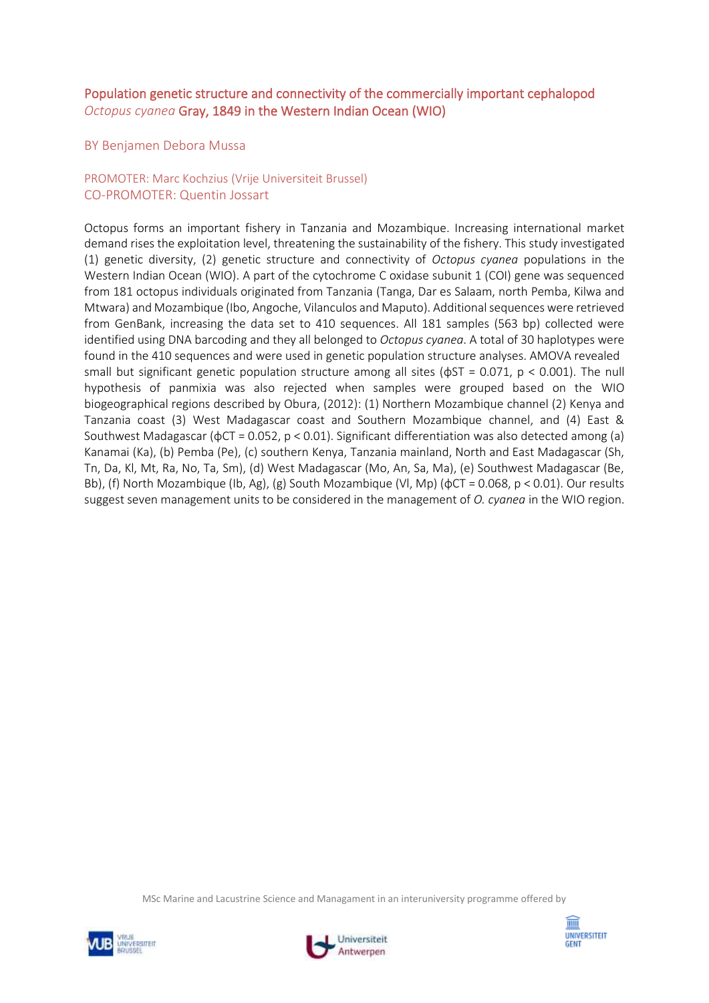# Population genetic structure and connectivity of the commercially important cephalopod *Octopus cyanea* Gray, 1849 in the Western Indian Ocean (WIO)

BY Benjamen Debora Mussa

## PROMOTER: Marc Kochzius (Vrije Universiteit Brussel) CO-PROMOTER: Quentin Jossart

Octopus forms an important fishery in Tanzania and Mozambique. Increasing international market demand rises the exploitation level, threatening the sustainability of the fishery. This study investigated (1) genetic diversity, (2) genetic structure and connectivity of *Octopus cyanea* populations in the Western Indian Ocean (WIO). A part of the cytochrome C oxidase subunit 1 (COI) gene was sequenced from 181 octopus individuals originated from Tanzania (Tanga, Dar es Salaam, north Pemba, Kilwa and Mtwara) and Mozambique (Ibo, Angoche, Vilanculos and Maputo). Additional sequences were retrieved from GenBank, increasing the data set to 410 sequences. All 181 samples (563 bp) collected were identified using DNA barcoding and they all belonged to *Octopus cyanea*. A total of 30 haplotypes were found in the 410 sequences and were used in genetic population structure analyses. AMOVA revealed small but significant genetic population structure among all sites ( $\phi$ ST = 0.071, p < 0.001). The null hypothesis of panmixia was also rejected when samples were grouped based on the WIO biogeographical regions described by Obura, (2012): (1) Northern Mozambique channel (2) Kenya and Tanzania coast (3) West Madagascar coast and Southern Mozambique channel, and (4) East & Southwest Madagascar (ϕCT = 0.052, p < 0.01). Significant differentiation was also detected among (a) Kanamai (Ka), (b) Pemba (Pe), (c) southern Kenya, Tanzania mainland, North and East Madagascar (Sh, Tn, Da, Kl, Mt, Ra, No, Ta, Sm), (d) West Madagascar (Mo, An, Sa, Ma), (e) Southwest Madagascar (Be, Bb), (f) North Mozambique (Ib, Ag), (g) South Mozambique (Vl, Mp) (ϕCT = 0.068, p < 0.01). Our results suggest seven management units to be considered in the management of *O. cyanea* in the WIO region.





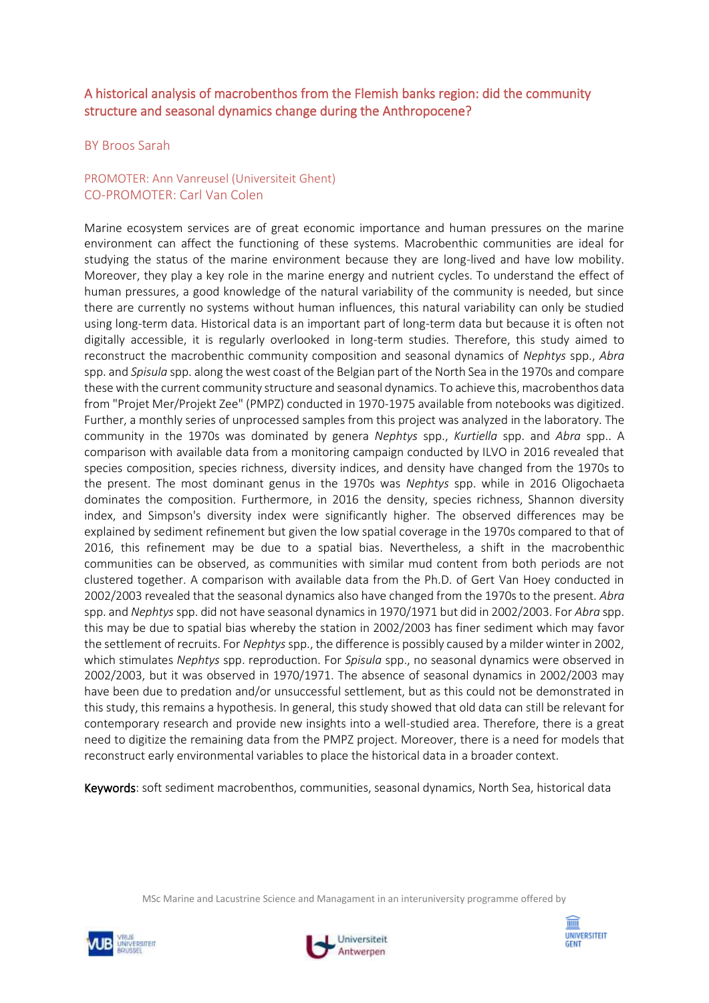# A historical analysis of macrobenthos from the Flemish banks region: did the community structure and seasonal dynamics change during the Anthropocene?

#### BY Broos Sarah

## PROMOTER: Ann Vanreusel (Universiteit Ghent) CO-PROMOTER: Carl Van Colen

Marine ecosystem services are of great economic importance and human pressures on the marine environment can affect the functioning of these systems. Macrobenthic communities are ideal for studying the status of the marine environment because they are long-lived and have low mobility. Moreover, they play a key role in the marine energy and nutrient cycles. To understand the effect of human pressures, a good knowledge of the natural variability of the community is needed, but since there are currently no systems without human influences, this natural variability can only be studied using long-term data. Historical data is an important part of long-term data but because it is often not digitally accessible, it is regularly overlooked in long-term studies. Therefore, this study aimed to reconstruct the macrobenthic community composition and seasonal dynamics of *Nephtys* spp., *Abra* spp. and *Spisula* spp. along the west coast of the Belgian part of the North Sea in the 1970s and compare these with the current community structure and seasonal dynamics. To achieve this, macrobenthos data from "Projet Mer/Projekt Zee" (PMPZ) conducted in 1970-1975 available from notebooks was digitized. Further, a monthly series of unprocessed samples from this project was analyzed in the laboratory. The community in the 1970s was dominated by genera *Nephtys* spp., *Kurtiella* spp. and *Abra* spp.. A comparison with available data from a monitoring campaign conducted by ILVO in 2016 revealed that species composition, species richness, diversity indices, and density have changed from the 1970s to the present. The most dominant genus in the 1970s was *Nephtys* spp. while in 2016 Oligochaeta dominates the composition. Furthermore, in 2016 the density, species richness, Shannon diversity index, and Simpson's diversity index were significantly higher. The observed differences may be explained by sediment refinement but given the low spatial coverage in the 1970s compared to that of 2016, this refinement may be due to a spatial bias. Nevertheless, a shift in the macrobenthic communities can be observed, as communities with similar mud content from both periods are not clustered together. A comparison with available data from the Ph.D. of Gert Van Hoey conducted in 2002/2003 revealed that the seasonal dynamics also have changed from the 1970s to the present. *Abra* spp. and *Nephtys*spp. did not have seasonal dynamics in 1970/1971 but did in 2002/2003. For *Abra* spp. this may be due to spatial bias whereby the station in 2002/2003 has finer sediment which may favor the settlement of recruits. For *Nephtys*spp., the difference is possibly caused by a milder winter in 2002, which stimulates *Nephtys* spp. reproduction. For *Spisula* spp., no seasonal dynamics were observed in 2002/2003, but it was observed in 1970/1971. The absence of seasonal dynamics in 2002/2003 may have been due to predation and/or unsuccessful settlement, but as this could not be demonstrated in this study, this remains a hypothesis. In general, this study showed that old data can still be relevant for contemporary research and provide new insights into a well-studied area. Therefore, there is a great need to digitize the remaining data from the PMPZ project. Moreover, there is a need for models that reconstruct early environmental variables to place the historical data in a broader context.

Keywords: soft sediment macrobenthos, communities, seasonal dynamics, North Sea, historical data





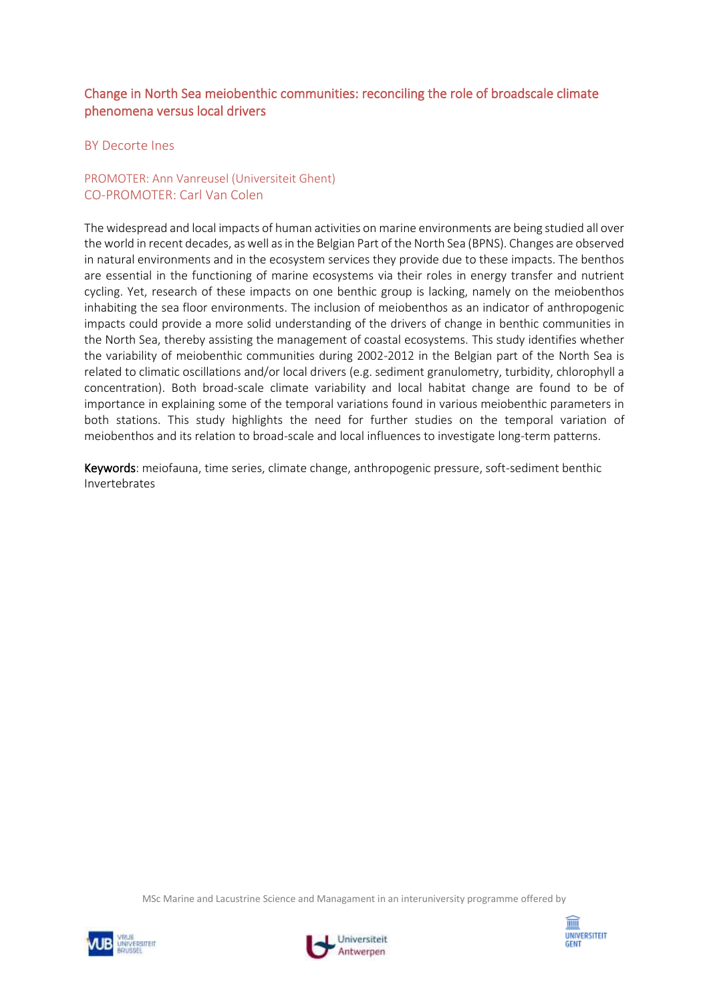# Change in North Sea meiobenthic communities: reconciling the role of broadscale climate phenomena versus local drivers

#### BY Decorte Ines

## PROMOTER: Ann Vanreusel (Universiteit Ghent) CO-PROMOTER: Carl Van Colen

The widespread and local impacts of human activities on marine environments are being studied all over the world in recent decades, as well as in the Belgian Part of the North Sea (BPNS). Changes are observed in natural environments and in the ecosystem services they provide due to these impacts. The benthos are essential in the functioning of marine ecosystems via their roles in energy transfer and nutrient cycling. Yet, research of these impacts on one benthic group is lacking, namely on the meiobenthos inhabiting the sea floor environments. The inclusion of meiobenthos as an indicator of anthropogenic impacts could provide a more solid understanding of the drivers of change in benthic communities in the North Sea, thereby assisting the management of coastal ecosystems. This study identifies whether the variability of meiobenthic communities during 2002-2012 in the Belgian part of the North Sea is related to climatic oscillations and/or local drivers (e.g. sediment granulometry, turbidity, chlorophyll a concentration). Both broad-scale climate variability and local habitat change are found to be of importance in explaining some of the temporal variations found in various meiobenthic parameters in both stations. This study highlights the need for further studies on the temporal variation of meiobenthos and its relation to broad-scale and local influences to investigate long-term patterns.

Keywords: meiofauna, time series, climate change, anthropogenic pressure, soft-sediment benthic Invertebrates





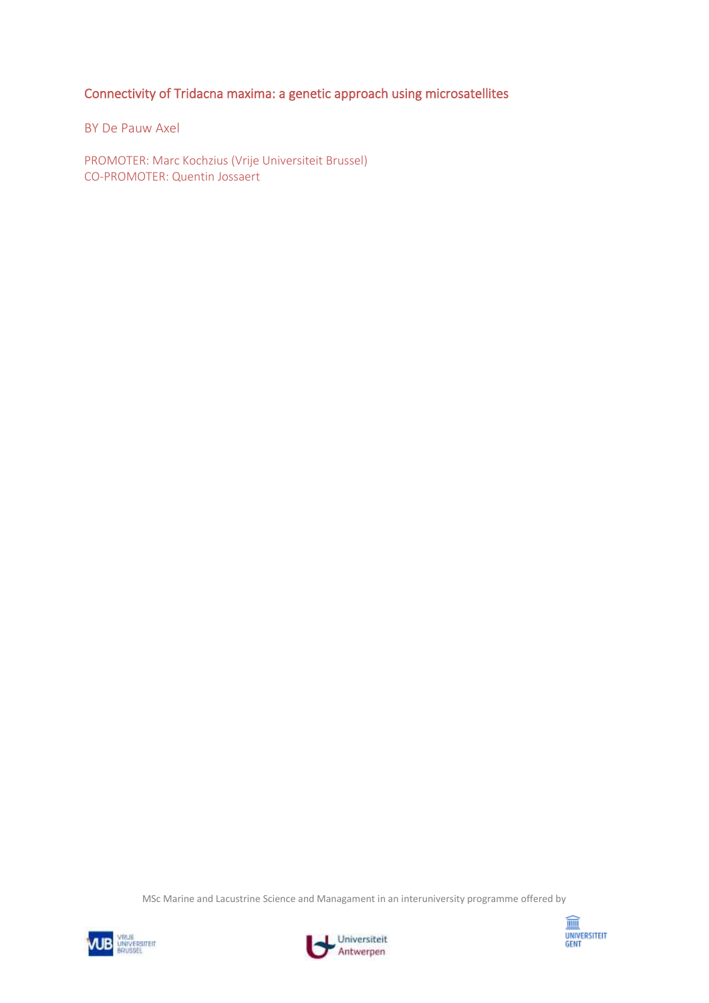Connectivity of Tridacna maxima: a genetic approach using microsatellites

BY De Pauw Axel

PROMOTER: Marc Kochzius (Vrije Universiteit Brussel) CO-PROMOTER: Quentin Jossaert





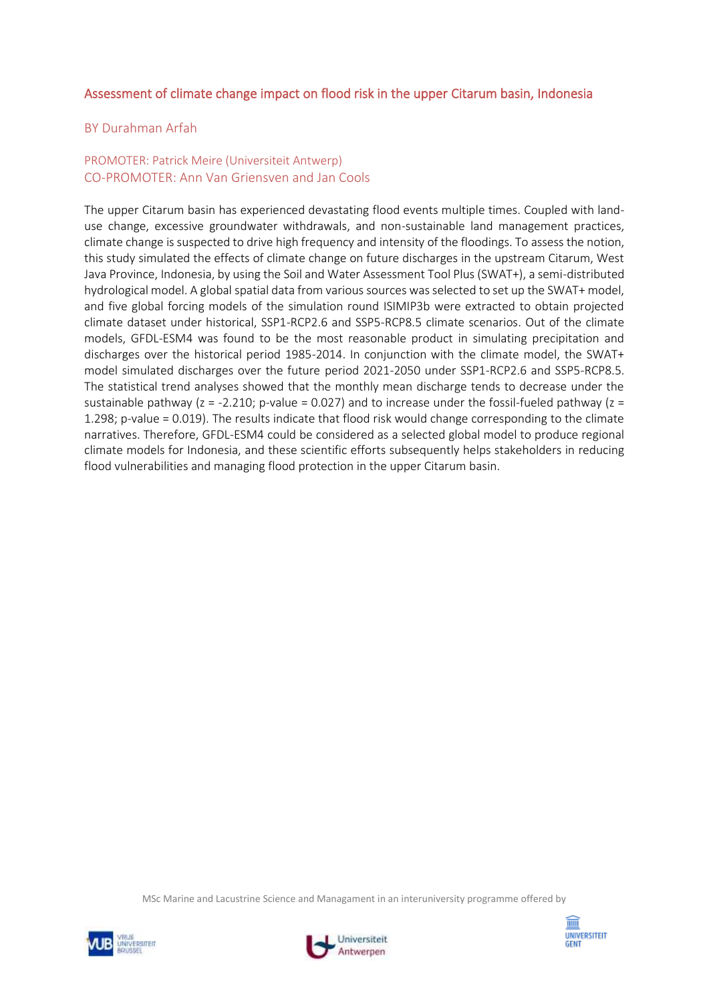# Assessment of climate change impact on flood risk in the upper Citarum basin, Indonesia

#### BY Durahman Arfah

#### PROMOTER: Patrick Meire (Universiteit Antwerp) CO-PROMOTER: Ann Van Griensven and Jan Cools

The upper Citarum basin has experienced devastating flood events multiple times. Coupled with landuse change, excessive groundwater withdrawals, and non-sustainable land management practices, climate change is suspected to drive high frequency and intensity of the floodings. To assess the notion, this study simulated the effects of climate change on future discharges in the upstream Citarum, West Java Province, Indonesia, by using the Soil and Water Assessment Tool Plus (SWAT+), a semi-distributed hydrological model. A global spatial data from various sources was selected to set up the SWAT+ model, and five global forcing models of the simulation round ISIMIP3b were extracted to obtain projected climate dataset under historical, SSP1-RCP2.6 and SSP5-RCP8.5 climate scenarios. Out of the climate models, GFDL-ESM4 was found to be the most reasonable product in simulating precipitation and discharges over the historical period 1985-2014. In conjunction with the climate model, the SWAT+ model simulated discharges over the future period 2021-2050 under SSP1-RCP2.6 and SSP5-RCP8.5. The statistical trend analyses showed that the monthly mean discharge tends to decrease under the sustainable pathway ( $z = -2.210$ ; p-value = 0.027) and to increase under the fossil-fueled pathway ( $z =$ 1.298; p-value = 0.019). The results indicate that flood risk would change corresponding to the climate narratives. Therefore, GFDL-ESM4 could be considered as a selected global model to produce regional climate models for Indonesia, and these scientific efforts subsequently helps stakeholders in reducing flood vulnerabilities and managing flood protection in the upper Citarum basin.





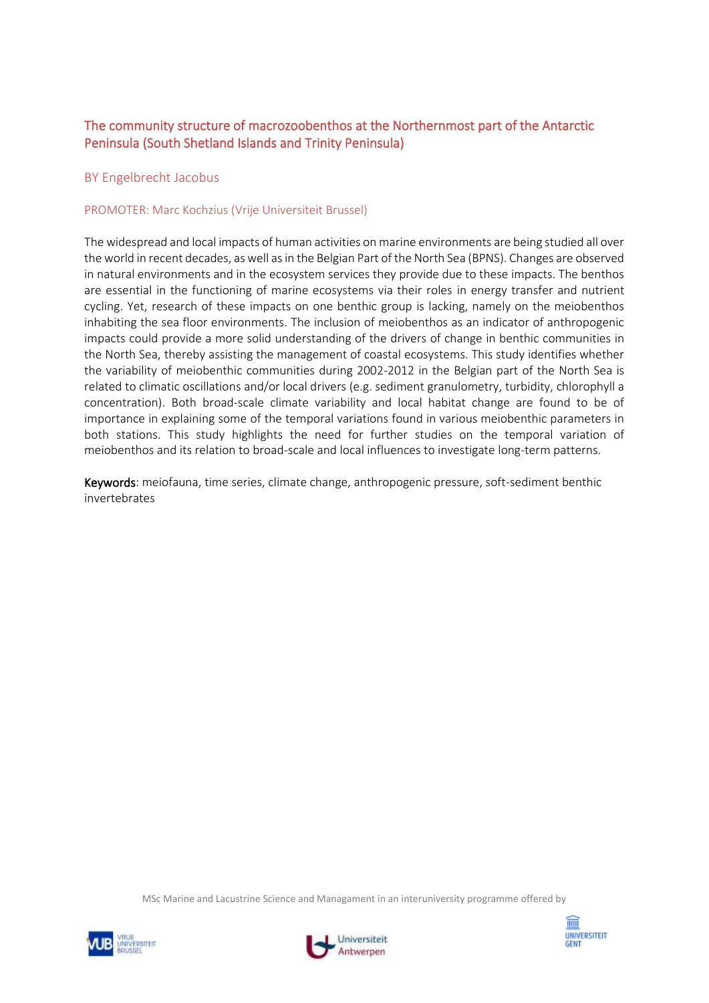# The community structure of macrozoobenthos at the Northernmost part of the Antarctic Peninsula (South Shetland Islands and Trinity Peninsula)

#### BY Engelbrecht Jacobus

#### PROMOTER: Marc Kochzius (Vrije Universiteit Brussel)

The widespread and local impacts of human activities on marine environments are being studied all over the world in recent decades, as well as in the Belgian Part of the North Sea (BPNS). Changes are observed in natural environments and in the ecosystem services they provide due to these impacts. The benthos are essential in the functioning of marine ecosystems via their roles in energy transfer and nutrient cycling. Yet, research of these impacts on one benthic group is lacking, namely on the meiobenthos inhabiting the sea floor environments. The inclusion of meiobenthos as an indicator of anthropogenic impacts could provide a more solid understanding of the drivers of change in benthic communities in the North Sea, thereby assisting the management of coastal ecosystems. This study identifies whether the variability of meiobenthic communities during 2002-2012 in the Belgian part of the North Sea is related to climatic oscillations and/or local drivers (e.g. sediment granulometry, turbidity, chlorophyll a concentration). Both broad-scale climate variability and local habitat change are found to be of importance in explaining some of the temporal variations found in various meiobenthic parameters in both stations. This study highlights the need for further studies on the temporal variation of meiobenthos and its relation to broad-scale and local influences to investigate long-term patterns.

Keywords: meiofauna, time series, climate change, anthropogenic pressure, soft-sediment benthic invertebrates





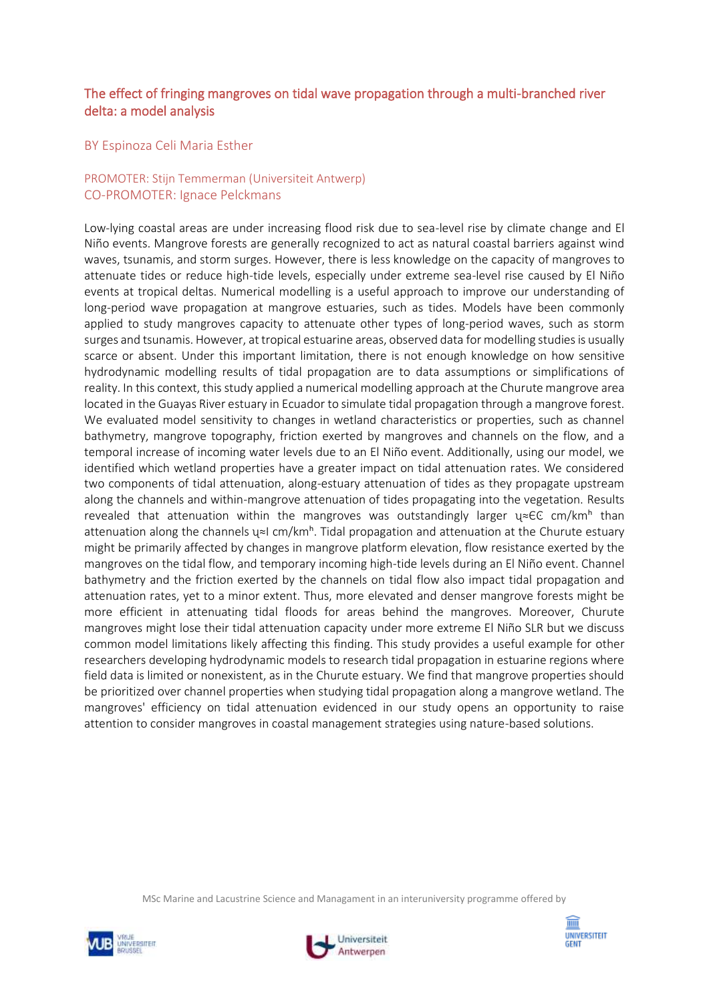# The effect of fringing mangroves on tidal wave propagation through a multi-branched river delta: a model analysis

#### BY Espinoza Celi Maria Esther

## PROMOTER: Stijn Temmerman (Universiteit Antwerp) CO-PROMOTER: Ignace Pelckmans

Low-lying coastal areas are under increasing flood risk due to sea-level rise by climate change and El Niño events. Mangrove forests are generally recognized to act as natural coastal barriers against wind waves, tsunamis, and storm surges. However, there is less knowledge on the capacity of mangroves to attenuate tides or reduce high-tide levels, especially under extreme sea-level rise caused by El Niño events at tropical deltas. Numerical modelling is a useful approach to improve our understanding of long-period wave propagation at mangrove estuaries, such as tides. Models have been commonly applied to study mangroves capacity to attenuate other types of long-period waves, such as storm surges and tsunamis. However, at tropical estuarine areas, observed data for modelling studies is usually scarce or absent. Under this important limitation, there is not enough knowledge on how sensitive hydrodynamic modelling results of tidal propagation are to data assumptions or simplifications of reality. In this context, this study applied a numerical modelling approach at the Churute mangrove area located in the Guayas River estuary in Ecuador to simulate tidal propagation through a mangrove forest. We evaluated model sensitivity to changes in wetland characteristics or properties, such as channel bathymetry, mangrove topography, friction exerted by mangroves and channels on the flow, and a temporal increase of incoming water levels due to an El Niño event. Additionally, using our model, we identified which wetland properties have a greater impact on tidal attenuation rates. We considered two components of tidal attenuation, along-estuary attenuation of tides as they propagate upstream along the channels and within-mangrove attenuation of tides propagating into the vegetation. Results revealed that attenuation within the mangroves was outstandingly larger  $u \approx \epsilon \epsilon$  cm/km<sup>h</sup> than attenuation along the channels  $u \approx 1$  cm/km<sup>h</sup>. Tidal propagation and attenuation at the Churute estuary might be primarily affected by changes in mangrove platform elevation, flow resistance exerted by the mangroves on the tidal flow, and temporary incoming high-tide levels during an El Niño event. Channel bathymetry and the friction exerted by the channels on tidal flow also impact tidal propagation and attenuation rates, yet to a minor extent. Thus, more elevated and denser mangrove forests might be more efficient in attenuating tidal floods for areas behind the mangroves. Moreover, Churute mangroves might lose their tidal attenuation capacity under more extreme El Niño SLR but we discuss common model limitations likely affecting this finding. This study provides a useful example for other researchers developing hydrodynamic models to research tidal propagation in estuarine regions where field data is limited or nonexistent, as in the Churute estuary. We find that mangrove properties should be prioritized over channel properties when studying tidal propagation along a mangrove wetland. The mangroves' efficiency on tidal attenuation evidenced in our study opens an opportunity to raise attention to consider mangroves in coastal management strategies using nature-based solutions.





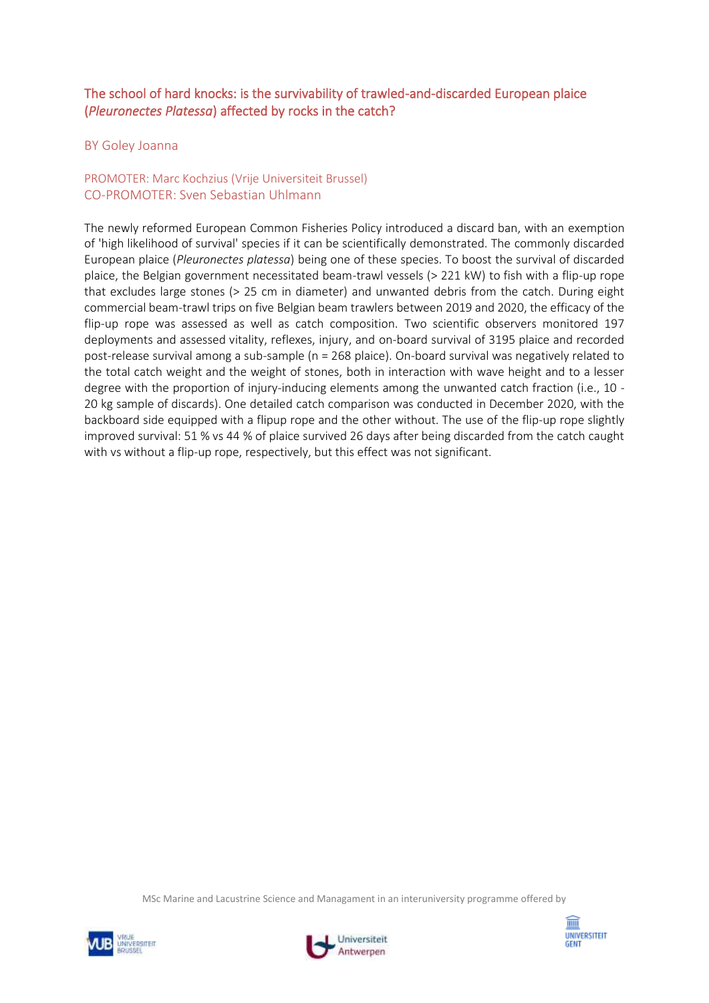# The school of hard knocks: is the survivability of trawled-and-discarded European plaice (*Pleuronectes Platessa*) affected by rocks in the catch?

#### BY Goley Joanna

## PROMOTER: Marc Kochzius (Vrije Universiteit Brussel) CO-PROMOTER: Sven Sebastian Uhlmann

The newly reformed European Common Fisheries Policy introduced a discard ban, with an exemption of 'high likelihood of survival' species if it can be scientifically demonstrated. The commonly discarded European plaice (*Pleuronectes platessa*) being one of these species. To boost the survival of discarded plaice, the Belgian government necessitated beam-trawl vessels (> 221 kW) to fish with a flip-up rope that excludes large stones (> 25 cm in diameter) and unwanted debris from the catch. During eight commercial beam-trawl trips on five Belgian beam trawlers between 2019 and 2020, the efficacy of the flip-up rope was assessed as well as catch composition. Two scientific observers monitored 197 deployments and assessed vitality, reflexes, injury, and on-board survival of 3195 plaice and recorded post-release survival among a sub-sample (n = 268 plaice). On-board survival was negatively related to the total catch weight and the weight of stones, both in interaction with wave height and to a lesser degree with the proportion of injury-inducing elements among the unwanted catch fraction (i.e., 10 - 20 kg sample of discards). One detailed catch comparison was conducted in December 2020, with the backboard side equipped with a flipup rope and the other without. The use of the flip-up rope slightly improved survival: 51 % vs 44 % of plaice survived 26 days after being discarded from the catch caught with vs without a flip-up rope, respectively, but this effect was not significant.





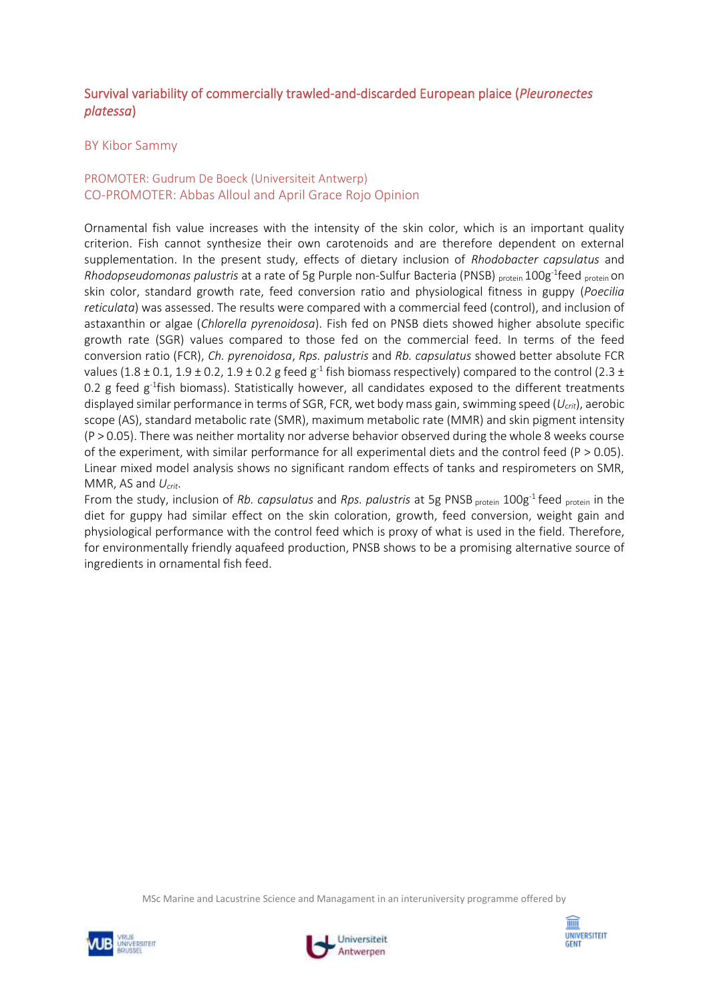# Survival variability of commercially trawled-and-discarded European plaice (*Pleuronectes platessa*)

#### BY Kibor Sammy

## PROMOTER: Gudrum De Boeck (Universiteit Antwerp) CO-PROMOTER: Abbas Alloul and April Grace Rojo Opinion

Ornamental fish value increases with the intensity of the skin color, which is an important quality criterion. Fish cannot synthesize their own carotenoids and are therefore dependent on external supplementation. In the present study, effects of dietary inclusion of *Rhodobacter capsulatus* and Rhodopseudomonas palustris at a rate of 5g Purple non-Sulfur Bacteria (PNSB) <sub>protein</sub> 100g<sup>-1</sup>feed <sub>protein</sub> on skin color, standard growth rate, feed conversion ratio and physiological fitness in guppy (*Poecilia reticulata*) was assessed. The results were compared with a commercial feed (control), and inclusion of astaxanthin or algae (*Chlorella pyrenoidosa*). Fish fed on PNSB diets showed higher absolute specific growth rate (SGR) values compared to those fed on the commercial feed. In terms of the feed conversion ratio (FCR), *Ch. pyrenoidosa*, *Rps. palustris* and *Rb. capsulatus* showed better absolute FCR values (1.8  $\pm$  0.1, 1.9  $\pm$  0.2, 1.9  $\pm$  0.2 g feed g<sup>-1</sup> fish biomass respectively) compared to the control (2.3  $\pm$ 0.2 g feed  $g^{-1}$ fish biomass). Statistically however, all candidates exposed to the different treatments displayed similar performance in terms of SGR, FCR, wet body mass gain, swimming speed (*Ucrit*), aerobic scope (AS), standard metabolic rate (SMR), maximum metabolic rate (MMR) and skin pigment intensity (P > 0.05). There was neither mortality nor adverse behavior observed during the whole 8 weeks course of the experiment, with similar performance for all experimental diets and the control feed ( $P > 0.05$ ). Linear mixed model analysis shows no significant random effects of tanks and respirometers on SMR, MMR, AS and *Ucrit*.

From the study, inclusion of *Rb. capsulatus* and *Rps. palustris* at 5g PNSB protein 100g<sup>-1</sup> feed protein in the diet for guppy had similar effect on the skin coloration, growth, feed conversion, weight gain and physiological performance with the control feed which is proxy of what is used in the field. Therefore, for environmentally friendly aquafeed production, PNSB shows to be a promising alternative source of ingredients in ornamental fish feed.





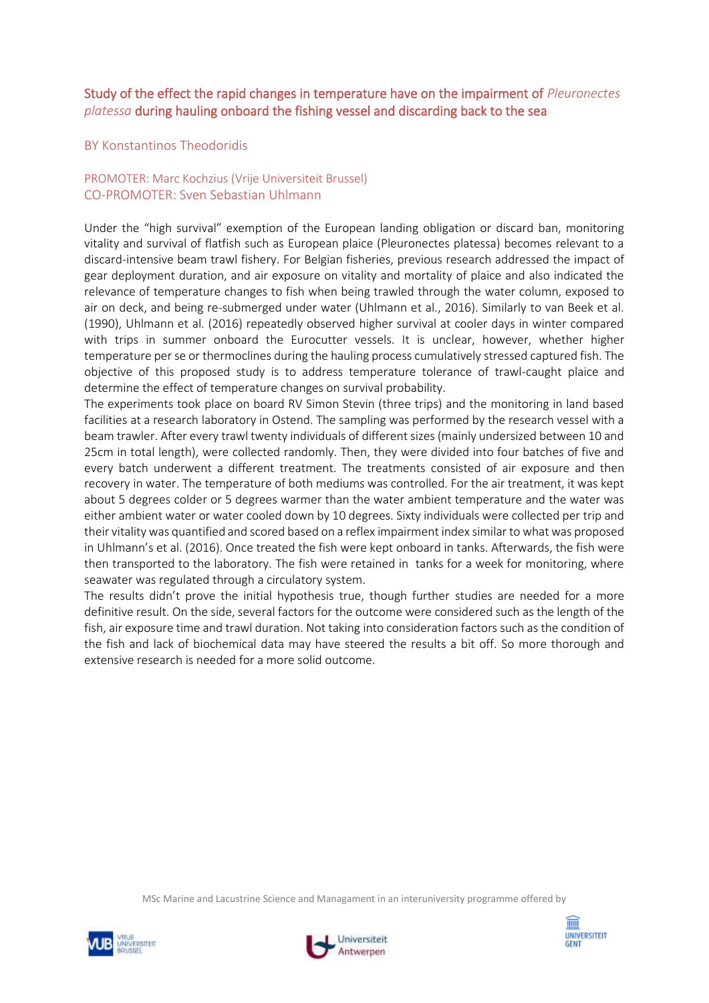# Study of the effect the rapid changes in temperature have on the impairment of *Pleuronectes platessa* during hauling onboard the fishing vessel and discarding back to the sea

## BY Konstantinos Theodoridis

## PROMOTER: Marc Kochzius (Vrije Universiteit Brussel) CO-PROMOTER: Sven Sebastian Uhlmann

Under the "high survival" exemption of the European landing obligation or discard ban, monitoring vitality and survival of flatfish such as European plaice (Pleuronectes platessa) becomes relevant to a discard-intensive beam trawl fishery. For Belgian fisheries, previous research addressed the impact of gear deployment duration, and air exposure on vitality and mortality of plaice and also indicated the relevance of temperature changes to fish when being trawled through the water column, exposed to air on deck, and being re-submerged under water (Uhlmann et al., 2016). Similarly to van Beek et al. (1990), Uhlmann et al. (2016) repeatedly observed higher survival at cooler days in winter compared with trips in summer onboard the Eurocutter vessels. It is unclear, however, whether higher temperature per se or thermoclines during the hauling process cumulatively stressed captured fish. The objective of this proposed study is to address temperature tolerance of trawl-caught plaice and determine the effect of temperature changes on survival probability.

The experiments took place on board RV Simon Stevin (three trips) and the monitoring in land based facilities at a research laboratory in Ostend. The sampling was performed by the research vessel with a beam trawler. After every trawl twenty individuals of different sizes (mainly undersized between 10 and 25cm in total length), were collected randomly. Then, they were divided into four batches of five and every batch underwent a different treatment. The treatments consisted of air exposure and then recovery in water. The temperature of both mediums was controlled. For the air treatment, it was kept about 5 degrees colder or 5 degrees warmer than the water ambient temperature and the water was either ambient water or water cooled down by 10 degrees. Sixty individuals were collected per trip and their vitality was quantified and scored based on a reflex impairment index similar to what was proposed in Uhlmann's et al. (2016). Once treated the fish were kept onboard in tanks. Afterwards, the fish were then transported to the laboratory. The fish were retained in tanks for a week for monitoring, where seawater was regulated through a circulatory system.

The results didn't prove the initial hypothesis true, though further studies are needed for a more definitive result. On the side, several factors for the outcome were considered such as the length of the fish, air exposure time and trawl duration. Not taking into consideration factors such as the condition of the fish and lack of biochemical data may have steered the results a bit off. So more thorough and extensive research is needed for a more solid outcome.





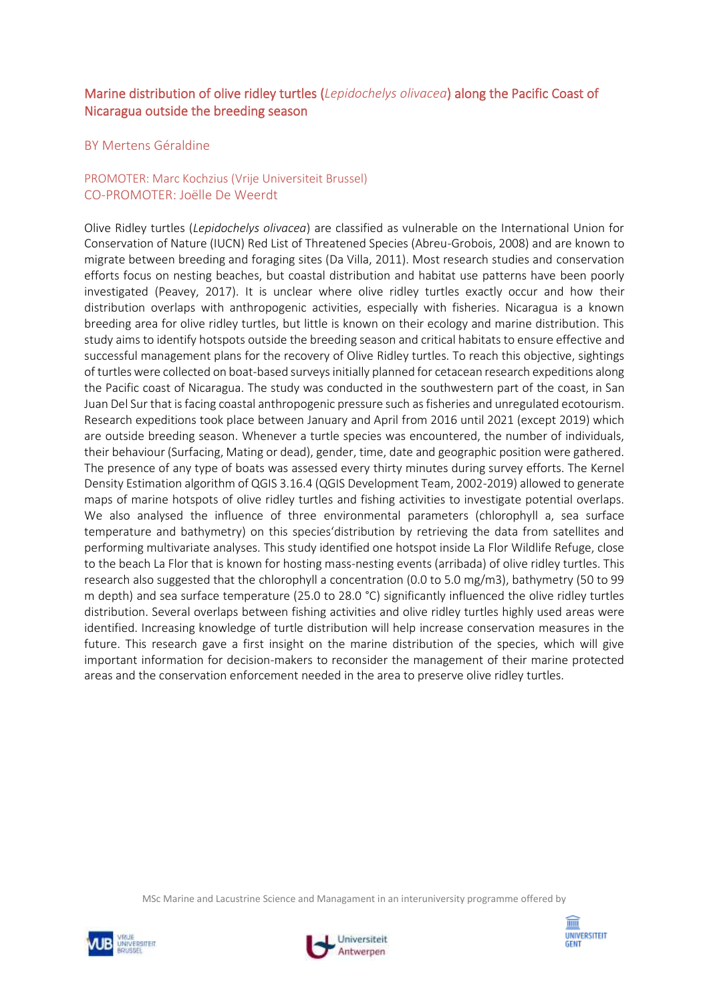# Marine distribution of olive ridley turtles (*Lepidochelys olivacea*) along the Pacific Coast of Nicaragua outside the breeding season

## BY Mertens Géraldine

## PROMOTER: Marc Kochzius (Vrije Universiteit Brussel) CO-PROMOTER: Joëlle De Weerdt

Olive Ridley turtles (*Lepidochelys olivacea*) are classified as vulnerable on the International Union for Conservation of Nature (IUCN) Red List of Threatened Species (Abreu-Grobois, 2008) and are known to migrate between breeding and foraging sites (Da Villa, 2011). Most research studies and conservation efforts focus on nesting beaches, but coastal distribution and habitat use patterns have been poorly investigated (Peavey, 2017). It is unclear where olive ridley turtles exactly occur and how their distribution overlaps with anthropogenic activities, especially with fisheries. Nicaragua is a known breeding area for olive ridley turtles, but little is known on their ecology and marine distribution. This study aims to identify hotspots outside the breeding season and critical habitats to ensure effective and successful management plans for the recovery of Olive Ridley turtles. To reach this objective, sightings of turtles were collected on boat-based surveys initially planned for cetacean research expeditions along the Pacific coast of Nicaragua. The study was conducted in the southwestern part of the coast, in San Juan Del Sur that is facing coastal anthropogenic pressure such as fisheries and unregulated ecotourism. Research expeditions took place between January and April from 2016 until 2021 (except 2019) which are outside breeding season. Whenever a turtle species was encountered, the number of individuals, their behaviour (Surfacing, Mating or dead), gender, time, date and geographic position were gathered. The presence of any type of boats was assessed every thirty minutes during survey efforts. The Kernel Density Estimation algorithm of QGIS 3.16.4 (QGIS Development Team, 2002-2019) allowed to generate maps of marine hotspots of olive ridley turtles and fishing activities to investigate potential overlaps. We also analysed the influence of three environmental parameters (chlorophyll a, sea surface temperature and bathymetry) on this species'distribution by retrieving the data from satellites and performing multivariate analyses. This study identified one hotspot inside La Flor Wildlife Refuge, close to the beach La Flor that is known for hosting mass-nesting events (arribada) of olive ridley turtles. This research also suggested that the chlorophyll a concentration (0.0 to 5.0 mg/m3), bathymetry (50 to 99 m depth) and sea surface temperature (25.0 to 28.0 °C) significantly influenced the olive ridley turtles distribution. Several overlaps between fishing activities and olive ridley turtles highly used areas were identified. Increasing knowledge of turtle distribution will help increase conservation measures in the future. This research gave a first insight on the marine distribution of the species, which will give important information for decision-makers to reconsider the management of their marine protected areas and the conservation enforcement needed in the area to preserve olive ridley turtles.





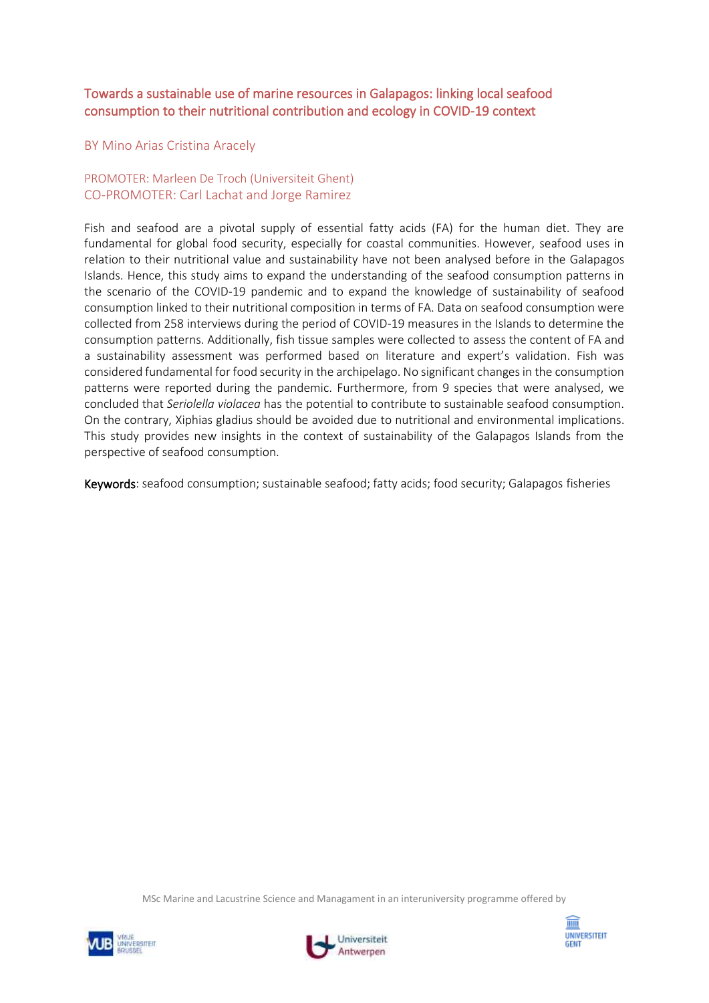# Towards a sustainable use of marine resources in Galapagos: linking local seafood consumption to their nutritional contribution and ecology in COVID-19 context

#### BY Mino Arias Cristina Aracely

## PROMOTER: Marleen De Troch (Universiteit Ghent) CO-PROMOTER: Carl Lachat and Jorge Ramirez

Fish and seafood are a pivotal supply of essential fatty acids (FA) for the human diet. They are fundamental for global food security, especially for coastal communities. However, seafood uses in relation to their nutritional value and sustainability have not been analysed before in the Galapagos Islands. Hence, this study aims to expand the understanding of the seafood consumption patterns in the scenario of the COVID-19 pandemic and to expand the knowledge of sustainability of seafood consumption linked to their nutritional composition in terms of FA. Data on seafood consumption were collected from 258 interviews during the period of COVID-19 measures in the Islands to determine the consumption patterns. Additionally, fish tissue samples were collected to assess the content of FA and a sustainability assessment was performed based on literature and expert's validation. Fish was considered fundamental for food security in the archipelago. No significant changes in the consumption patterns were reported during the pandemic. Furthermore, from 9 species that were analysed, we concluded that *Seriolella violacea* has the potential to contribute to sustainable seafood consumption. On the contrary, Xiphias gladius should be avoided due to nutritional and environmental implications. This study provides new insights in the context of sustainability of the Galapagos Islands from the perspective of seafood consumption.

Keywords: seafood consumption; sustainable seafood; fatty acids; food security; Galapagos fisheries





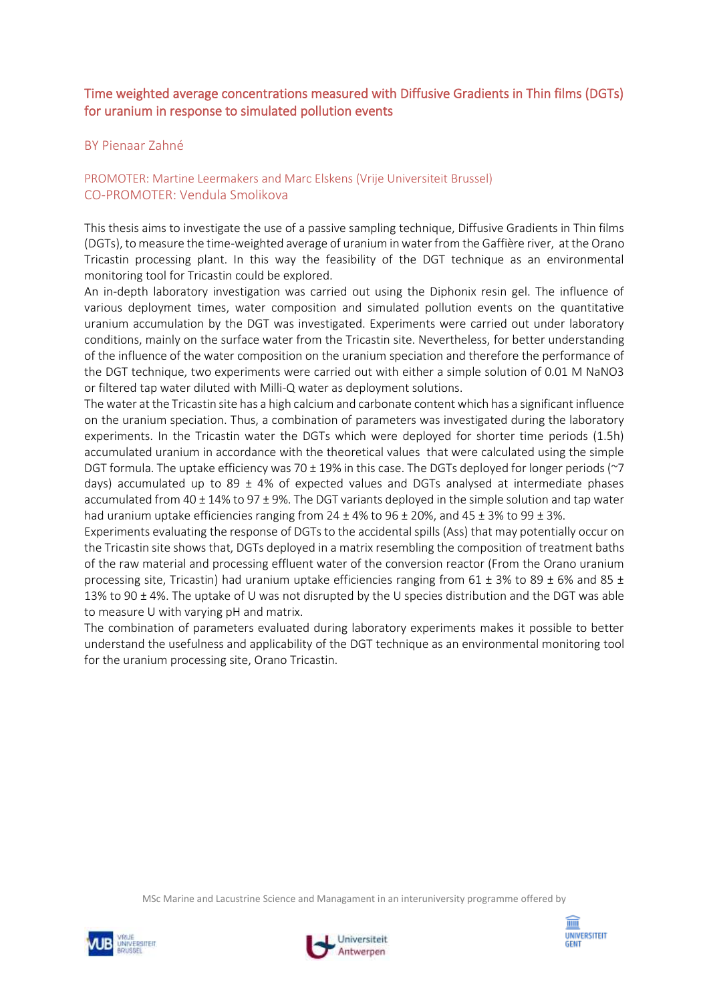# Time weighted average concentrations measured with Diffusive Gradients in Thin films (DGTs) for uranium in response to simulated pollution events

## BY Pienaar Zahné

# PROMOTER: Martine Leermakers and Marc Elskens (Vrije Universiteit Brussel) CO-PROMOTER: Vendula Smolikova

This thesis aims to investigate the use of a passive sampling technique, Diffusive Gradients in Thin films (DGTs), to measure the time-weighted average of uranium in water from the Gaffière river, at the Orano Tricastin processing plant. In this way the feasibility of the DGT technique as an environmental monitoring tool for Tricastin could be explored.

An in-depth laboratory investigation was carried out using the Diphonix resin gel. The influence of various deployment times, water composition and simulated pollution events on the quantitative uranium accumulation by the DGT was investigated. Experiments were carried out under laboratory conditions, mainly on the surface water from the Tricastin site. Nevertheless, for better understanding of the influence of the water composition on the uranium speciation and therefore the performance of the DGT technique, two experiments were carried out with either a simple solution of 0.01 M NaNO3 or filtered tap water diluted with Milli-Q water as deployment solutions.

The water at the Tricastin site has a high calcium and carbonate content which has a significant influence on the uranium speciation. Thus, a combination of parameters was investigated during the laboratory experiments. In the Tricastin water the DGTs which were deployed for shorter time periods (1.5h) accumulated uranium in accordance with the theoretical values that were calculated using the simple DGT formula. The uptake efficiency was 70  $\pm$  19% in this case. The DGTs deployed for longer periods ( $\sim$ 7) days) accumulated up to 89  $\pm$  4% of expected values and DGTs analysed at intermediate phases accumulated from  $40 \pm 14\%$  to 97  $\pm$  9%. The DGT variants deployed in the simple solution and tap water had uranium uptake efficiencies ranging from  $24 \pm 4\%$  to  $96 \pm 20\%$ , and  $45 \pm 3\%$  to  $99 \pm 3\%$ .

Experiments evaluating the response of DGTs to the accidental spills (Ass) that may potentially occur on the Tricastin site shows that, DGTs deployed in a matrix resembling the composition of treatment baths of the raw material and processing effluent water of the conversion reactor (From the Orano uranium processing site, Tricastin) had uranium uptake efficiencies ranging from 61  $\pm$  3% to 89  $\pm$  6% and 85  $\pm$ 13% to 90 ± 4%. The uptake of U was not disrupted by the U species distribution and the DGT was able to measure U with varying pH and matrix.

The combination of parameters evaluated during laboratory experiments makes it possible to better understand the usefulness and applicability of the DGT technique as an environmental monitoring tool for the uranium processing site, Orano Tricastin.





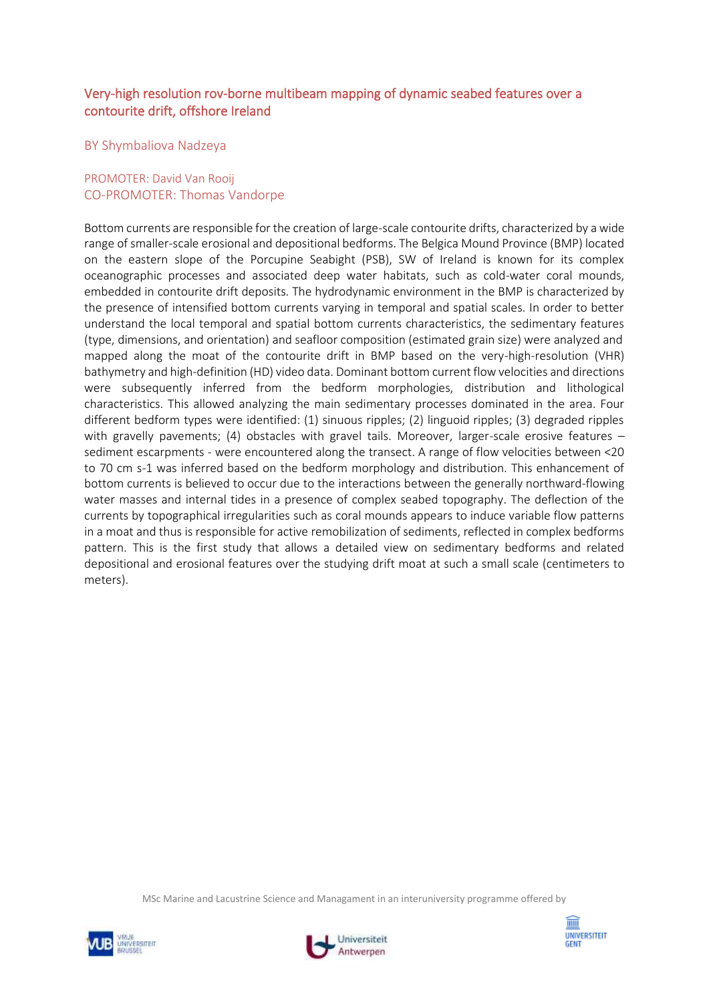# Very-high resolution rov-borne multibeam mapping of dynamic seabed features over a contourite drift, offshore Ireland

#### BY Shymbaliova Nadzeya

## PROMOTER: David Van Rooij CO-PROMOTER: Thomas Vandorpe

Bottom currents are responsible for the creation of large-scale contourite drifts, characterized by a wide range of smaller-scale erosional and depositional bedforms. The Belgica Mound Province (BMP) located on the eastern slope of the Porcupine Seabight (PSB), SW of Ireland is known for its complex oceanographic processes and associated deep water habitats, such as cold-water coral mounds, embedded in contourite drift deposits. The hydrodynamic environment in the BMP is characterized by the presence of intensified bottom currents varying in temporal and spatial scales. In order to better understand the local temporal and spatial bottom currents characteristics, the sedimentary features (type, dimensions, and orientation) and seafloor composition (estimated grain size) were analyzed and mapped along the moat of the contourite drift in BMP based on the very-high-resolution (VHR) bathymetry and high-definition (HD) video data. Dominant bottom current flow velocities and directions were subsequently inferred from the bedform morphologies, distribution and lithological characteristics. This allowed analyzing the main sedimentary processes dominated in the area. Four different bedform types were identified: (1) sinuous ripples; (2) linguoid ripples; (3) degraded ripples with gravelly pavements; (4) obstacles with gravel tails. Moreover, larger-scale erosive features sediment escarpments - were encountered along the transect. A range of flow velocities between <20 to 70 cm s-1 was inferred based on the bedform morphology and distribution. This enhancement of bottom currents is believed to occur due to the interactions between the generally northward-flowing water masses and internal tides in a presence of complex seabed topography. The deflection of the currents by topographical irregularities such as coral mounds appears to induce variable flow patterns in a moat and thus is responsible for active remobilization of sediments, reflected in complex bedforms pattern. This is the first study that allows a detailed view on sedimentary bedforms and related depositional and erosional features over the studying drift moat at such a small scale (centimeters to meters).





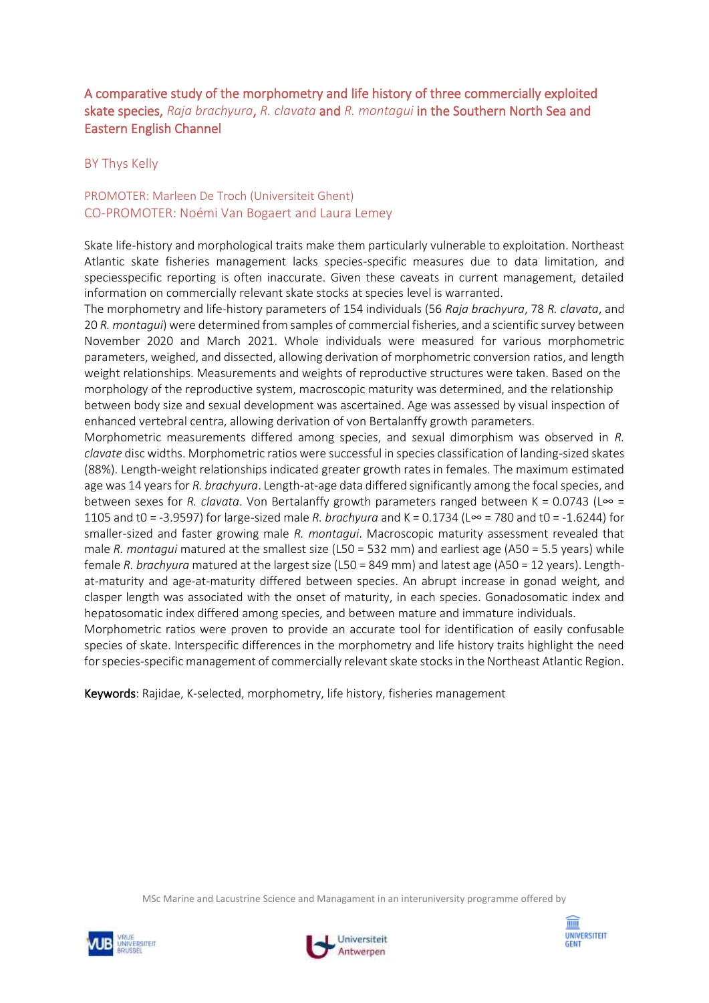# A comparative study of the morphometry and life history of three commercially exploited skate species, *Raja brachyura*, *R. clavata* and *R. montagui* in the Southern North Sea and Eastern English Channel

## BY Thys Kelly

## PROMOTER: Marleen De Troch (Universiteit Ghent) CO-PROMOTER: Noémi Van Bogaert and Laura Lemey

Skate life-history and morphological traits make them particularly vulnerable to exploitation. Northeast Atlantic skate fisheries management lacks species-specific measures due to data limitation, and speciesspecific reporting is often inaccurate. Given these caveats in current management, detailed information on commercially relevant skate stocks at species level is warranted.

The morphometry and life-history parameters of 154 individuals (56 *Raja brachyura*, 78 *R. clavata*, and 20 *R. montagui*) were determined from samples of commercial fisheries, and a scientific survey between November 2020 and March 2021. Whole individuals were measured for various morphometric parameters, weighed, and dissected, allowing derivation of morphometric conversion ratios, and length weight relationships. Measurements and weights of reproductive structures were taken. Based on the morphology of the reproductive system, macroscopic maturity was determined, and the relationship between body size and sexual development was ascertained. Age was assessed by visual inspection of enhanced vertebral centra, allowing derivation of von Bertalanffy growth parameters.

Morphometric measurements differed among species, and sexual dimorphism was observed in *R. clavate* disc widths. Morphometric ratios were successful in species classification of landing-sized skates (88%). Length-weight relationships indicated greater growth rates in females. The maximum estimated age was 14 years for *R. brachyura*. Length-at-age data differed significantly among the focal species, and between sexes for *R. clavata*. Von Bertalanffy growth parameters ranged between K = 0.0743 (L∞ = 1105 and t0 = -3.9597) for large-sized male *R. brachyura* and K = 0.1734 (L∞ = 780 and t0 = -1.6244) for smaller-sized and faster growing male *R. montagui*. Macroscopic maturity assessment revealed that male *R. montagui* matured at the smallest size (L50 = 532 mm) and earliest age (A50 = 5.5 years) while female *R. brachyura* matured at the largest size (L50 = 849 mm) and latest age (A50 = 12 years). Lengthat-maturity and age-at-maturity differed between species. An abrupt increase in gonad weight, and clasper length was associated with the onset of maturity, in each species. Gonadosomatic index and hepatosomatic index differed among species, and between mature and immature individuals.

Morphometric ratios were proven to provide an accurate tool for identification of easily confusable species of skate. Interspecific differences in the morphometry and life history traits highlight the need for species-specific management of commercially relevant skate stocks in the Northeast Atlantic Region.

Keywords: Rajidae, K-selected, morphometry, life history, fisheries management





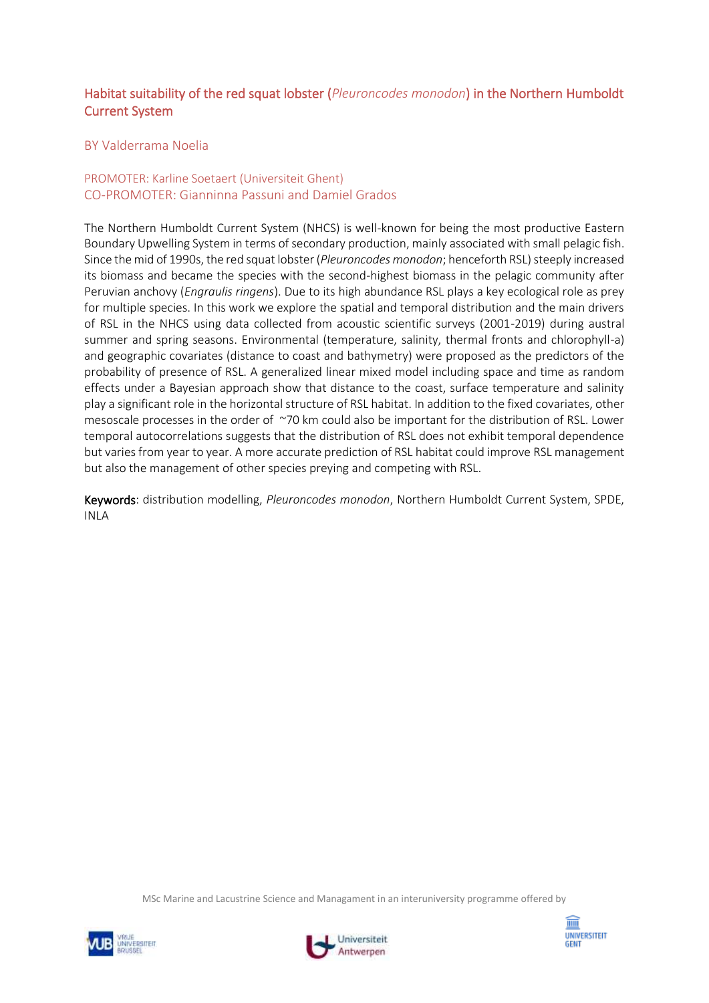# Habitat suitability of the red squat lobster (*Pleuroncodes monodon*) in the Northern Humboldt Current System

## BY Valderrama Noelia

## PROMOTER: Karline Soetaert (Universiteit Ghent) CO-PROMOTER: Gianninna Passuni and Damiel Grados

The Northern Humboldt Current System (NHCS) is well-known for being the most productive Eastern Boundary Upwelling System in terms of secondary production, mainly associated with small pelagic fish. Since the mid of 1990s, the red squat lobster (*Pleuroncodes monodon*; henceforth RSL) steeply increased its biomass and became the species with the second-highest biomass in the pelagic community after Peruvian anchovy (*Engraulis ringens*). Due to its high abundance RSL plays a key ecological role as prey for multiple species. In this work we explore the spatial and temporal distribution and the main drivers of RSL in the NHCS using data collected from acoustic scientific surveys (2001-2019) during austral summer and spring seasons. Environmental (temperature, salinity, thermal fronts and chlorophyll-a) and geographic covariates (distance to coast and bathymetry) were proposed as the predictors of the probability of presence of RSL. A generalized linear mixed model including space and time as random effects under a Bayesian approach show that distance to the coast, surface temperature and salinity play a significant role in the horizontal structure of RSL habitat. In addition to the fixed covariates, other mesoscale processes in the order of ~70 km could also be important for the distribution of RSL. Lower temporal autocorrelations suggests that the distribution of RSL does not exhibit temporal dependence but varies from year to year. A more accurate prediction of RSL habitat could improve RSL management but also the management of other species preying and competing with RSL.

Keywords: distribution modelling, *Pleuroncodes monodon*, Northern Humboldt Current System, SPDE, INLA





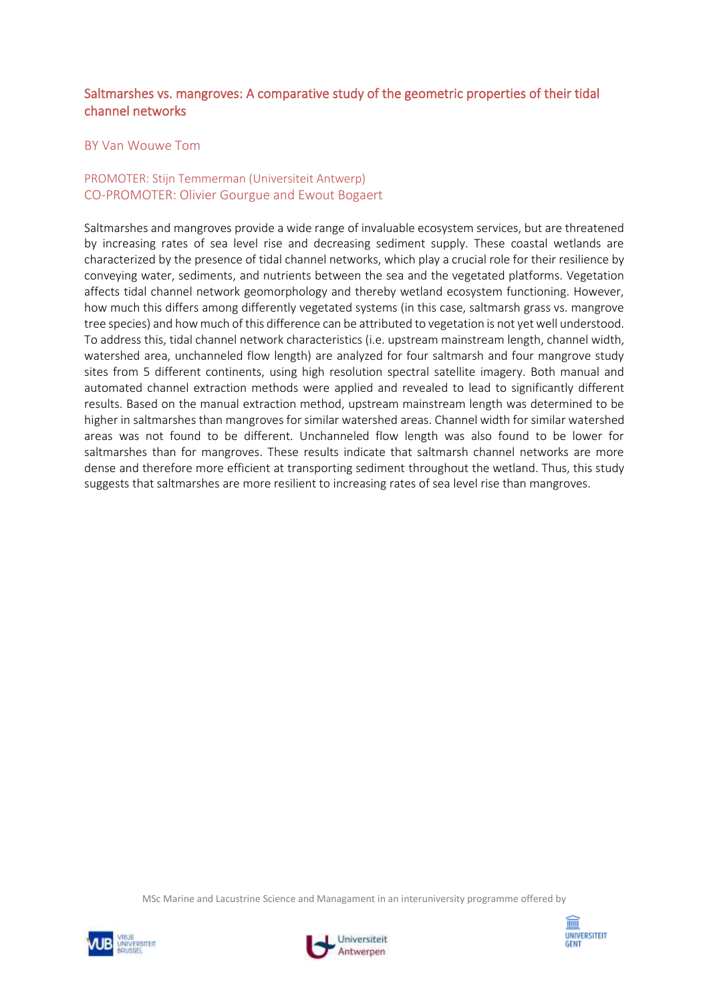# Saltmarshes vs. mangroves: A comparative study of the geometric properties of their tidal channel networks

#### BY Van Wouwe Tom

## PROMOTER: Stijn Temmerman (Universiteit Antwerp) CO-PROMOTER: Olivier Gourgue and Ewout Bogaert

Saltmarshes and mangroves provide a wide range of invaluable ecosystem services, but are threatened by increasing rates of sea level rise and decreasing sediment supply. These coastal wetlands are characterized by the presence of tidal channel networks, which play a crucial role for their resilience by conveying water, sediments, and nutrients between the sea and the vegetated platforms. Vegetation affects tidal channel network geomorphology and thereby wetland ecosystem functioning. However, how much this differs among differently vegetated systems (in this case, saltmarsh grass vs. mangrove tree species) and how much of this difference can be attributed to vegetation is not yet well understood. To address this, tidal channel network characteristics (i.e. upstream mainstream length, channel width, watershed area, unchanneled flow length) are analyzed for four saltmarsh and four mangrove study sites from 5 different continents, using high resolution spectral satellite imagery. Both manual and automated channel extraction methods were applied and revealed to lead to significantly different results. Based on the manual extraction method, upstream mainstream length was determined to be higher in saltmarshes than mangroves for similar watershed areas. Channel width for similar watershed areas was not found to be different. Unchanneled flow length was also found to be lower for saltmarshes than for mangroves. These results indicate that saltmarsh channel networks are more dense and therefore more efficient at transporting sediment throughout the wetland. Thus, this study suggests that saltmarshes are more resilient to increasing rates of sea level rise than mangroves.